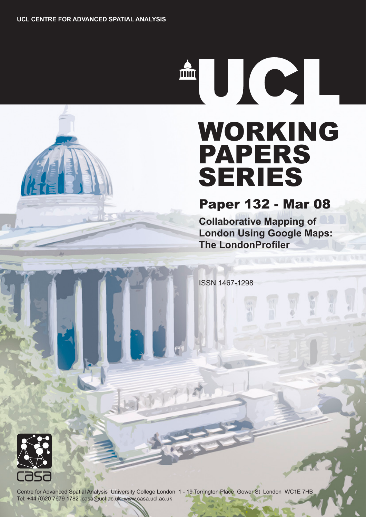AUCIL

# WORKING PAPERS SERIES

Paper 132 - Mar 08

**Collaborative Mapping of London Using Google Maps: The LondonProfiler**

ISSN 1467-1298



Centre for Advanced Spatial Analysis University College London 1 - 19 Torrington Place Gower St London WC1E 7HB Tel: +44 (0)20 7679 1782 casa@ucl.ac.uk www.casa.ucl.ac.uk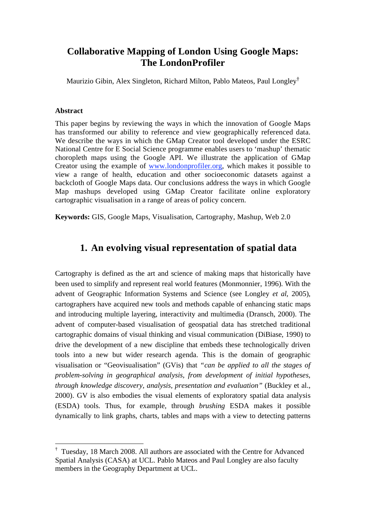# **Collaborative Mapping of London Using Google Maps: The LondonProfiler**

Maurizio Gibin, Alex Singleton, Richard Milton, Pablo Mateos, Paul Longley†

#### **Abstract**

 $\overline{a}$ 

This paper begins by reviewing the ways in which the innovation of Google Maps has transformed our ability to reference and view geographically referenced data. We describe the ways in which the GMap Creator tool developed under the ESRC National Centre for E Social Science programme enables users to 'mashup' thematic choropleth maps using the Google API. We illustrate the application of GMap Creator using the example of www.londonprofiler.org, which makes it possible to view a range of health, education and other socioeconomic datasets against a backcloth of Google Maps data. Our conclusions address the ways in which Google Map mashups developed using GMap Creator facilitate online exploratory cartographic visualisation in a range of areas of policy concern.

**Keywords:** GIS, Google Maps, Visualisation, Cartography, Mashup, Web 2.0

## **1. An evolving visual representation of spatial data**

Cartography is defined as the art and science of making maps that historically have been used to simplify and represent real world features (Monmonnier, 1996). With the advent of Geographic Information Systems and Science (see Longley *et al*, 2005), cartographers have acquired new tools and methods capable of enhancing static maps and introducing multiple layering, interactivity and multimedia (Dransch, 2000). The advent of computer-based visualisation of geospatial data has stretched traditional cartographic domains of visual thinking and visual communication (DiBiase, 1990) to drive the development of a new discipline that embeds these technologically driven tools into a new but wider research agenda. This is the domain of geographic visualisation or "Geovisualisation" (GVis) that *"can be applied to all the stages of problem-solving in geographical analysis, from development of initial hypotheses, through knowledge discovery, analysis, presentation and evaluation"* (Buckley et al., 2000). GV is also embodies the visual elements of exploratory spatial data analysis (ESDA) tools. Thus, for example, through *brushing* ESDA makes it possible dynamically to link graphs, charts, tables and maps with a view to detecting patterns

<sup>†</sup> Tuesday, 18 March 2008. All authors are associated with the Centre for Advanced Spatial Analysis (CASA) at UCL. Pablo Mateos and Paul Longley are also faculty members in the Geography Department at UCL.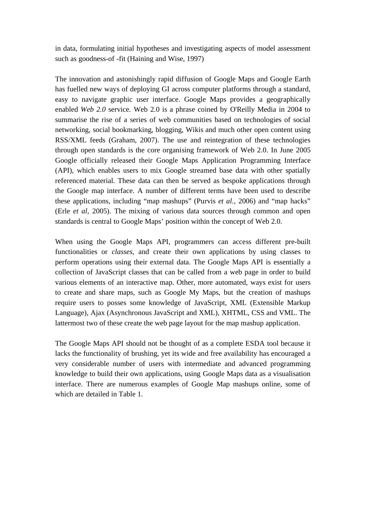in data, formulating initial hypotheses and investigating aspects of model assessment such as goodness-of -fit (Haining and Wise, 1997)

The innovation and astonishingly rapid diffusion of Google Maps and Google Earth has fuelled new ways of deploying GI across computer platforms through a standard, easy to navigate graphic user interface. Google Maps provides a geographically enabled *Web 2.0* service*.* Web 2.0 is a phrase coined by O'Reilly Media in 2004 to summarise the rise of a series of web communities based on technologies of social networking, social bookmarking, blogging, Wikis and much other open content using RSS/XML feeds (Graham, 2007). The use and reintegration of these technologies through open standards is the core organising framework of Web 2.0. In June 2005 Google officially released their Google Maps Application Programming Interface (API), which enables users to mix Google streamed base data with other spatially referenced material. These data can then be served as bespoke applications through the Google map interface. A number of different terms have been used to describe these applications, including "map mashups" (Purvis *et al.,* 2006) and "map hacks" (Erle *et al,* 2005). The mixing of various data sources through common and open standards is central to Google Maps' position within the concept of Web 2.0.

When using the Google Maps API, programmers can access different pre-built functionalities or *classes*, and create their own applications by using classes to perform operations using their external data. The Google Maps API is essentially a collection of JavaScript classes that can be called from a web page in order to build various elements of an interactive map. Other, more automated, ways exist for users to create and share maps, such as Google My Maps, but the creation of mashups require users to posses some knowledge of JavaScript, XML (Extensible Markup Language), Ajax (Asynchronous JavaScript and XML), XHTML, CSS and VML. The lattermost two of these create the web page layout for the map mashup application.

The Google Maps API should not be thought of as a complete ESDA tool because it lacks the functionality of brushing, yet its wide and free availability has encouraged a very considerable number of users with intermediate and advanced programming knowledge to build their own applications, using Google Maps data as a visualisation interface. There are numerous examples of Google Map mashups online, some of which are detailed in Table 1.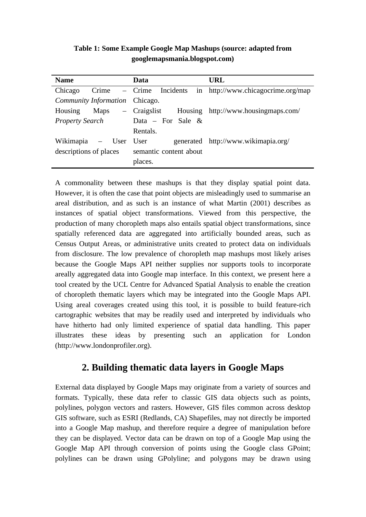| Table 1: Some Example Google Map Mashups (source: adapted from |
|----------------------------------------------------------------|
| googlemapsmania.blogspot.com)                                  |

| <b>Name</b>                    |                       | Data                   | <b>URL</b>                                           |
|--------------------------------|-----------------------|------------------------|------------------------------------------------------|
| Chicago                        | Crime                 |                        | - Crime Incidents in http://www.chicagocrime.org/map |
| Community Information Chicago. |                       |                        |                                                      |
| Housing                        | Maps                  | - Craigslist           | Housing http://www.housingmaps.com/                  |
| <i>Property Search</i>         |                       | Data – For Sale $\&$   |                                                      |
|                                |                       | Rentals.               |                                                      |
|                                | Wikimapia – User User |                        | generated http://www.wikimapia.org/                  |
| descriptions of places         |                       | semantic content about |                                                      |
|                                |                       | places.                |                                                      |

A commonality between these mashups is that they display spatial point data. However, it is often the case that point objects are misleadingly used to summarise an areal distribution, and as such is an instance of what Martin (2001) describes as instances of spatial object transformations. Viewed from this perspective, the production of many choropleth maps also entails spatial object transformations, since spatially referenced data are aggregated into artificially bounded areas, such as Census Output Areas, or administrative units created to protect data on individuals from disclosure. The low prevalence of choropleth map mashups most likely arises because the Google Maps API neither supplies nor supports tools to incorporate areally aggregated data into Google map interface. In this context, we present here a tool created by the UCL Centre for Advanced Spatial Analysis to enable the creation of choropleth thematic layers which may be integrated into the Google Maps API. Using areal coverages created using this tool, it is possible to build feature-rich cartographic websites that may be readily used and interpreted by individuals who have hitherto had only limited experience of spatial data handling. This paper illustrates these ideas by presenting such an application for London (http://www.londonprofiler.org).

# **2. Building thematic data layers in Google Maps**

External data displayed by Google Maps may originate from a variety of sources and formats. Typically, these data refer to classic GIS data objects such as points, polylines, polygon vectors and rasters. However, GIS files common across desktop GIS software, such as ESRI (Redlands, CA) Shapefiles, may not directly be imported into a Google Map mashup, and therefore require a degree of manipulation before they can be displayed. Vector data can be drawn on top of a Google Map using the Google Map API through conversion of points using the Google class GPoint; polylines can be drawn using GPolyline; and polygons may be drawn using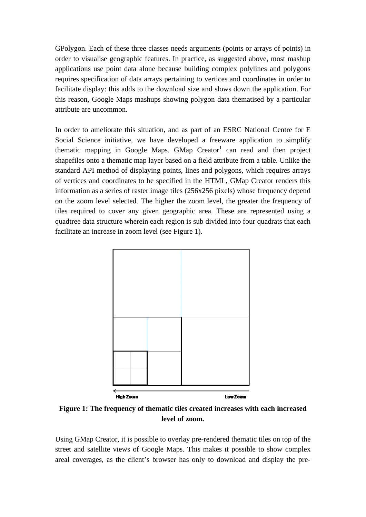GPolygon. Each of these three classes needs arguments (points or arrays of points) in order to visualise geographic features. In practice, as suggested above, most mashup applications use point data alone because building complex polylines and polygons requires specification of data arrays pertaining to vertices and coordinates in order to facilitate display: this adds to the download size and slows down the application. For this reason, Google Maps mashups showing polygon data thematised by a particular attribute are uncommon.

In order to ameliorate this situation, and as part of an ESRC National Centre for E Social Science initiative, we have developed a freeware application to simplify thematic mapping in Google Maps. GMap  $Creator<sup>1</sup>$  can read and then project shapefiles onto a thematic map layer based on a field attribute from a table. Unlike the standard API method of displaying points, lines and polygons, which requires arrays of vertices and coordinates to be specified in the HTML, GMap Creator renders this information as a series of raster image tiles (256x256 pixels) whose frequency depend on the zoom level selected. The higher the zoom level, the greater the frequency of tiles required to cover any given geographic area. These are represented using a quadtree data structure wherein each region is sub divided into four quadrats that each facilitate an increase in zoom level (see Figure 1).



**Figure 1: The frequency of thematic tiles created increases with each increased level of zoom.** 

Using GMap Creator, it is possible to overlay pre-rendered thematic tiles on top of the street and satellite views of Google Maps. This makes it possible to show complex areal coverages, as the client's browser has only to download and display the pre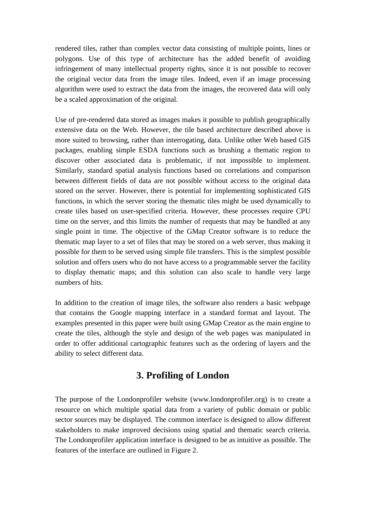rendered tiles, rather than complex vector data consisting of multiple points, lines or polygons. Use of this type of architecture has the added benefit of avoiding infringement of many intellectual property rights, since it is not possible to recover the original vector data from the image tiles. Indeed, even if an image processing algorithm were used to extract the data from the images, the recovered data will only be a scaled approximation of the original.

Use of pre-rendered data stored as images makes it possible to publish geographically extensive data on the Web. However, the tile based architecture described above is more suited to browsing, rather than interrogating, data. Unlike other Web based GIS packages, enabling simple ESDA functions such as brushing a thematic region to discover other associated data is problematic, if not impossible to implement. Similarly, standard spatial analysis functions based on correlations and comparison between different fields of data are not possible without access to the original data stored on the server. However, there is potential for implementing sophisticated GIS functions, in which the server storing the thematic tiles might be used dynamically to create tiles based on user-specified criteria. However, these processes require CPU time on the server, and this limits the number of requests that may be handled at any single point in time. The objective of the GMap Creator software is to reduce the thematic map layer to a set of files that may be stored on a web server, thus making it possible for them to be served using simple file transfers. This is the simplest possible solution and offers users who do not have access to a programmable server the facility to display thematic maps; and this solution can also scale to handle very large numbers of hits.

In addition to the creation of image tiles, the software also renders a basic webpage that contains the Google mapping interface in a standard format and layout. The examples presented in this paper were built using GMap Creator as the main engine to create the tiles, although the style and design of the web pages was manipulated in order to offer additional cartographic features such as the ordering of layers and the ability to select different data.

## **3. Profiling of London**

The purpose of the Londonprofiler website (www.londonprofiler.org) is to create a resource on which multiple spatial data from a variety of public domain or public sector sources may be displayed. The common interface is designed to allow different stakeholders to make improved decisions using spatial and thematic search criteria. The Londonprofiler application interface is designed to be as intuitive as possible. The features of the interface are outlined in Figure 2.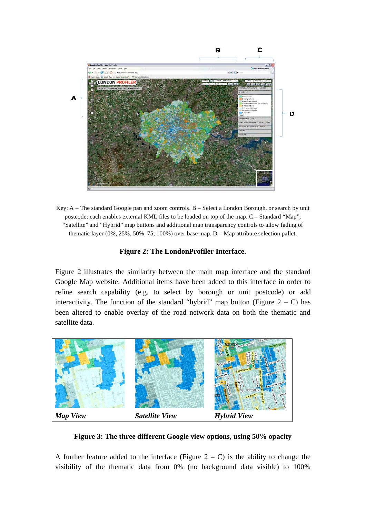

Key: A – The standard Google pan and zoom controls. B – Select a London Borough, or search by unit postcode: each enables external KML files to be loaded on top of the map. C – Standard "Map", "Satellite" and "Hybrid" map buttons and additional map transparency controls to allow fading of thematic layer (0%, 25%, 50%, 75, 100%) over base map. D – Map attribute selection pallet.

#### **Figure 2: The LondonProfiler Interface.**

Figure 2 illustrates the similarity between the main map interface and the standard Google Map website. Additional items have been added to this interface in order to refine search capability (e.g. to select by borough or unit postcode) or add interactivity. The function of the standard "hybrid" map button (Figure  $2 - C$ ) has been altered to enable overlay of the road network data on both the thematic and satellite data.



**Figure 3: The three different Google view options, using 50% opacity** 

A further feature added to the interface (Figure  $2 - C$ ) is the ability to change the visibility of the thematic data from 0% (no background data visible) to 100%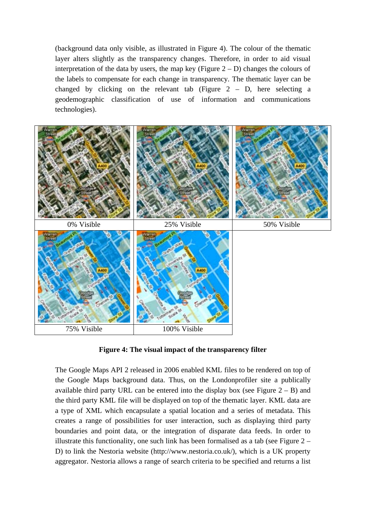(background data only visible, as illustrated in Figure 4). The colour of the thematic layer alters slightly as the transparency changes. Therefore, in order to aid visual interpretation of the data by users, the map key (Figure  $2 - D$ ) changes the colours of the labels to compensate for each change in transparency. The thematic layer can be changed by clicking on the relevant tab (Figure  $2 - D$ , here selecting a geodemographic classification of use of information and communications technologies).



**Figure 4: The visual impact of the transparency filter** 

The Google Maps API 2 released in 2006 enabled KML files to be rendered on top of the Google Maps background data. Thus, on the Londonprofiler site a publically available third party URL can be entered into the display box (see Figure  $2 - B$ ) and the third party KML file will be displayed on top of the thematic layer. KML data are a type of XML which encapsulate a spatial location and a series of metadata. This creates a range of possibilities for user interaction, such as displaying third party boundaries and point data, or the integration of disparate data feeds. In order to illustrate this functionality, one such link has been formalised as a tab (see Figure  $2 -$ D) to link the Nestoria website (http://www.nestoria.co.uk/), which is a UK property aggregator. Nestoria allows a range of search criteria to be specified and returns a list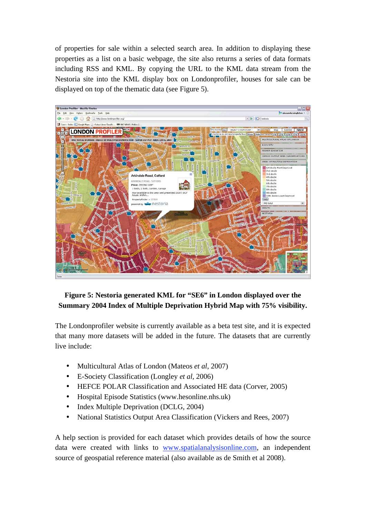of properties for sale within a selected search area. In addition to displaying these properties as a list on a basic webpage, the site also returns a series of data formats including RSS and KML. By copying the URL to the KML data stream from the Nestoria site into the KML display box on Londonprofiler, houses for sale can be displayed on top of the thematic data (see Figure 5).



## **Figure 5: Nestoria generated KML for "SE6" in London displayed over the Summary 2004 Index of Multiple Deprivation Hybrid Map with 75% visibility.**

The Londonprofiler website is currently available as a beta test site, and it is expected that many more datasets will be added in the future. The datasets that are currently live include:

- Multicultural Atlas of London (Mateos *et al*, 2007)
- E-Society Classification (Longley *et al,* 2006)
- HEFCE POLAR Classification and Associated HE data (Corver, 2005)
- Hospital Episode Statistics (www.hesonline.nhs.uk)
- Index Multiple Deprivation (DCLG, 2004)
- National Statistics Output Area Classification (Vickers and Rees, 2007)

A help section is provided for each dataset which provides details of how the source data were created with links to www.spatialanalysisonline.com, an independent source of geospatial reference material (also available as de Smith et al 2008).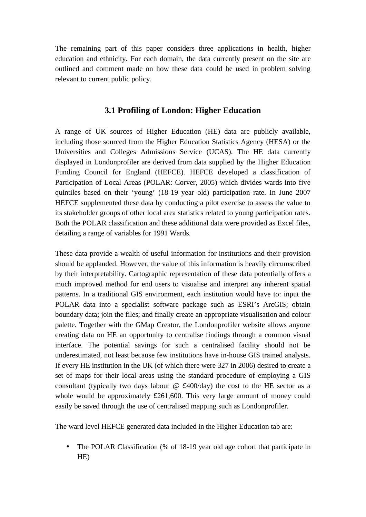The remaining part of this paper considers three applications in health, higher education and ethnicity. For each domain, the data currently present on the site are outlined and comment made on how these data could be used in problem solving relevant to current public policy.

#### **3.1 Profiling of London: Higher Education**

A range of UK sources of Higher Education (HE) data are publicly available, including those sourced from the Higher Education Statistics Agency (HESA) or the Universities and Colleges Admissions Service (UCAS). The HE data currently displayed in Londonprofiler are derived from data supplied by the Higher Education Funding Council for England (HEFCE). HEFCE developed a classification of Participation of Local Areas (POLAR: Corver, 2005) which divides wards into five quintiles based on their 'young' (18-19 year old) participation rate. In June 2007 HEFCE supplemented these data by conducting a pilot exercise to assess the value to its stakeholder groups of other local area statistics related to young participation rates. Both the POLAR classification and these additional data were provided as Excel files, detailing a range of variables for 1991 Wards.

These data provide a wealth of useful information for institutions and their provision should be applauded. However, the value of this information is heavily circumscribed by their interpretability. Cartographic representation of these data potentially offers a much improved method for end users to visualise and interpret any inherent spatial patterns. In a traditional GIS environment, each institution would have to: input the POLAR data into a specialist software package such as ESRI's ArcGIS; obtain boundary data; join the files; and finally create an appropriate visualisation and colour palette. Together with the GMap Creator, the Londonprofiler website allows anyone creating data on HE an opportunity to centralise findings through a common visual interface. The potential savings for such a centralised facility should not be underestimated, not least because few institutions have in-house GIS trained analysts. If every HE institution in the UK (of which there were 327 in 2006) desired to create a set of maps for their local areas using the standard procedure of employing a GIS consultant (typically two days labour @ £400/day) the cost to the HE sector as a whole would be approximately £261,600. This very large amount of money could easily be saved through the use of centralised mapping such as Londonprofiler.

The ward level HEFCE generated data included in the Higher Education tab are:

• The POLAR Classification (% of 18-19 year old age cohort that participate in HE)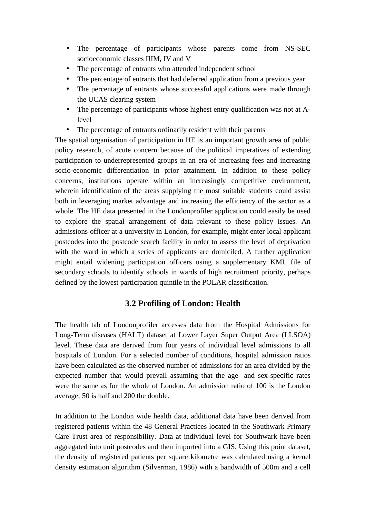- The percentage of participants whose parents come from NS-SEC socioeconomic classes IIIM, IV and V
- The percentage of entrants who attended independent school
- The percentage of entrants that had deferred application from a previous year
- The percentage of entrants whose successful applications were made through the UCAS clearing system
- The percentage of participants whose highest entry qualification was not at Alevel
- The percentage of entrants ordinarily resident with their parents

The spatial organisation of participation in HE is an important growth area of public policy research, of acute concern because of the political imperatives of extending participation to underrepresented groups in an era of increasing fees and increasing socio-economic differentiation in prior attainment. In addition to these policy concerns, institutions operate within an increasingly competitive environment, wherein identification of the areas supplying the most suitable students could assist both in leveraging market advantage and increasing the efficiency of the sector as a whole. The HE data presented in the Londonprofiler application could easily be used to explore the spatial arrangement of data relevant to these policy issues. An admissions officer at a university in London, for example, might enter local applicant postcodes into the postcode search facility in order to assess the level of deprivation with the ward in which a series of applicants are domiciled. A further application might entail widening participation officers using a supplementary KML file of secondary schools to identify schools in wards of high recruitment priority, perhaps defined by the lowest participation quintile in the POLAR classification.

## **3.2 Profiling of London: Health**

The health tab of Londonprofiler accesses data from the Hospital Admissions for Long-Term diseases (HALT) dataset at Lower Layer Super Output Area (LLSOA) level. These data are derived from four years of individual level admissions to all hospitals of London. For a selected number of conditions, hospital admission ratios have been calculated as the observed number of admissions for an area divided by the expected number that would prevail assuming that the age- and sex-specific rates were the same as for the whole of London. An admission ratio of 100 is the London average; 50 is half and 200 the double.

In addition to the London wide health data, additional data have been derived from registered patients within the 48 General Practices located in the Southwark Primary Care Trust area of responsibility. Data at individual level for Southwark have been aggregated into unit postcodes and then imported into a GIS. Using this point dataset, the density of registered patients per square kilometre was calculated using a kernel density estimation algorithm (Silverman, 1986) with a bandwidth of 500m and a cell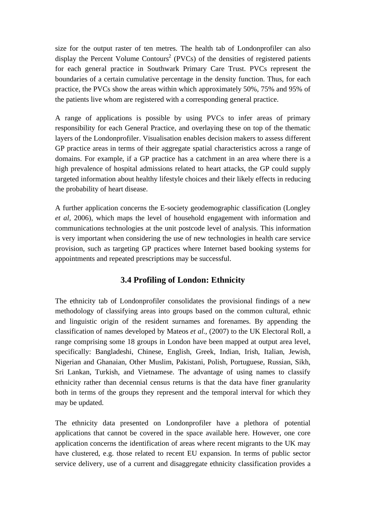size for the output raster of ten metres. The health tab of Londonprofiler can also display the Percent Volume Contours<sup>2</sup> (PVCs) of the densities of registered patients for each general practice in Southwark Primary Care Trust. PVCs represent the boundaries of a certain cumulative percentage in the density function. Thus, for each practice, the PVCs show the areas within which approximately 50%, 75% and 95% of the patients live whom are registered with a corresponding general practice.

A range of applications is possible by using PVCs to infer areas of primary responsibility for each General Practice, and overlaying these on top of the thematic layers of the Londonprofiler. Visualisation enables decision makers to assess different GP practice areas in terms of their aggregate spatial characteristics across a range of domains. For example, if a GP practice has a catchment in an area where there is a high prevalence of hospital admissions related to heart attacks, the GP could supply targeted information about healthy lifestyle choices and their likely effects in reducing the probability of heart disease.

A further application concerns the E-society geodemographic classification (Longley *et al,* 2006), which maps the level of household engagement with information and communications technologies at the unit postcode level of analysis. This information is very important when considering the use of new technologies in health care service provision, such as targeting GP practices where Internet based booking systems for appointments and repeated prescriptions may be successful.

#### **3.4 Profiling of London: Ethnicity**

The ethnicity tab of Londonprofiler consolidates the provisional findings of a new methodology of classifying areas into groups based on the common cultural, ethnic and linguistic origin of the resident surnames and forenames. By appending the classification of names developed by Mateos *et al.,* (2007) to the UK Electoral Roll, a range comprising some 18 groups in London have been mapped at output area level, specifically: Bangladeshi, Chinese, English, Greek, Indian, Irish, Italian, Jewish, Nigerian and Ghanaian, Other Muslim, Pakistani, Polish, Portuguese, Russian, Sikh, Sri Lankan, Turkish, and Vietnamese. The advantage of using names to classify ethnicity rather than decennial census returns is that the data have finer granularity both in terms of the groups they represent and the temporal interval for which they may be updated.

The ethnicity data presented on Londonprofiler have a plethora of potential applications that cannot be covered in the space available here. However, one core application concerns the identification of areas where recent migrants to the UK may have clustered, e.g. those related to recent EU expansion. In terms of public sector service delivery, use of a current and disaggregate ethnicity classification provides a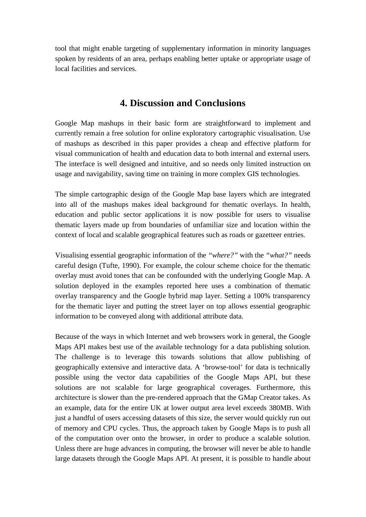tool that might enable targeting of supplementary information in minority languages spoken by residents of an area, perhaps enabling better uptake or appropriate usage of local facilities and services.

## **4. Discussion and Conclusions**

Google Map mashups in their basic form are straightforward to implement and currently remain a free solution for online exploratory cartographic visualisation. Use of mashups as described in this paper provides a cheap and effective platform for visual communication of health and education data to both internal and external users. The interface is well designed and intuitive, and so needs only limited instruction on usage and navigability, saving time on training in more complex GIS technologies.

The simple cartographic design of the Google Map base layers which are integrated into all of the mashups makes ideal background for thematic overlays. In health, education and public sector applications it is now possible for users to visualise thematic layers made up from boundaries of unfamiliar size and location within the context of local and scalable geographical features such as roads or gazetteer entries.

Visualising essential geographic information of the *"where?"* with the *"what?"* needs careful design (Tufte, 1990). For example, the colour scheme choice for the thematic overlay must avoid tones that can be confounded with the underlying Google Map. A solution deployed in the examples reported here uses a combination of thematic overlay transparency and the Google hybrid map layer. Setting a 100% transparency for the thematic layer and putting the street layer on top allows essential geographic information to be conveyed along with additional attribute data.

Because of the ways in which Internet and web browsers work in general, the Google Maps API makes best use of the available technology for a data publishing solution. The challenge is to leverage this towards solutions that allow publishing of geographically extensive and interactive data. A 'browse-tool' for data is technically possible using the vector data capabilities of the Google Maps API, but these solutions are not scalable for large geographical coverages. Furthermore, this architecture is slower than the pre-rendered approach that the GMap Creator takes. As an example, data for the entire UK at lower output area level exceeds 380MB. With just a handful of users accessing datasets of this size, the server would quickly run out of memory and CPU cycles. Thus, the approach taken by Google Maps is to push all of the computation over onto the browser, in order to produce a scalable solution. Unless there are huge advances in computing, the browser will never be able to handle large datasets through the Google Maps API. At present, it is possible to handle about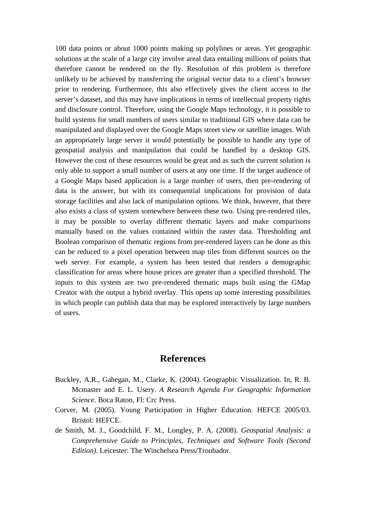100 data points or about 1000 points making up polylines or areas. Yet geographic solutions at the scale of a large city involve areal data entailing millions of points that therefore cannot be rendered on the fly. Resolution of this problem is therefore unlikely to be achieved by transferring the original vector data to a client's browser prior to rendering. Furthermore, this also effectively gives the client access to the server's dataset, and this may have implications in terms of intellectual property rights and disclosure control. Therefore, using the Google Maps technology, it is possible to build systems for small numbers of users similar to traditional GIS where data can be manipulated and displayed over the Google Maps street view or satellite images. With an appropriately large server it would potentially be possible to handle any type of geospatial analysis and manipulation that could be handled by a desktop GIS. However the cost of these resources would be great and as such the current solution is only able to support a small number of users at any one time. If the target audience of a Google Maps based application is a large number of users, then pre-rendering of data is the answer, but with its consequential implications for provision of data storage facilities and also lack of manipulation options. We think, however, that there also exists a class of system somewhere between these two. Using pre-rendered tiles, it may be possible to overlay different thematic layers and make comparisons manually based on the values contained within the raster data. Thresholding and Boolean comparison of thematic regions from pre-rendered layers can be done as this can be reduced to a pixel operation between map tiles from different sources on the web server. For example, a system has been tested that renders a demographic classification for areas where house prices are greater than a specified threshold. The inputs to this system are two pre-rendered thematic maps built using the GMap Creator with the output a hybrid overlay. This opens up some interesting possibilities in which people can publish data that may be explored interactively by large numbers of users.

#### **References**

- Buckley, A.R., Gahegan, M., Clarke, K. (2004). Geographic Visualization. In, R. B. Mcmaster and E. L. Usery. *A Research Agenda For Geographic Information Science*. Boca Raton, Fl: Crc Press.
- Corver, M. (2005). Young Participation in Higher Education. HEFCE 2005/03. Bristol: HEFCE.
- de Smith, M. J., Goodchild, F. M., Longley, P. A. (2008). *Geospatial Analysis: a Comprehensive Guide to Principles, Techniques and Software Tools (Second Edition)*. Leicester: The Winchelsea Press/Troubador.